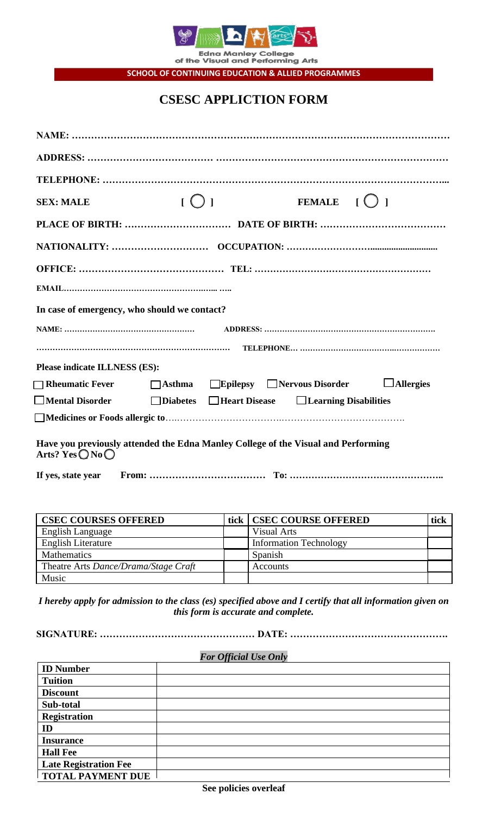

Edna Manley College<br>of the Visual and Performing Arts **SCHOOL OF CONTINUING EDUCATION & ALLIED PROGRAMMES**

**CSESC APPLICTION FORM**

| <b>SEX: MALE</b>                   | [O]                                                                               |  | FEMALE $\begin{bmatrix} 0 \end{bmatrix}$ |  |  |
|------------------------------------|-----------------------------------------------------------------------------------|--|------------------------------------------|--|--|
|                                    |                                                                                   |  |                                          |  |  |
|                                    |                                                                                   |  |                                          |  |  |
|                                    |                                                                                   |  |                                          |  |  |
|                                    |                                                                                   |  |                                          |  |  |
|                                    | In case of emergency, who should we contact?                                      |  |                                          |  |  |
|                                    |                                                                                   |  |                                          |  |  |
|                                    |                                                                                   |  |                                          |  |  |
| Please indicate ILLNESS (ES):      |                                                                                   |  |                                          |  |  |
|                                    | □Rheumatic Fever    □Asthma □Epilepsy □Nervous Disorder □Allergies                |  |                                          |  |  |
|                                    | □Mental Disorder    □Diabetes □Heart Disease □Learning Disabilities               |  |                                          |  |  |
|                                    |                                                                                   |  |                                          |  |  |
| Arts? Yes $\bigcirc$ No $\bigcirc$ | Have you previously attended the Edna Manley College of the Visual and Performing |  |                                          |  |  |
|                                    |                                                                                   |  |                                          |  |  |

| <b>CSEC COURSES OFFERED</b>          | tick   CSEC COURSE OFFERED    | tick |
|--------------------------------------|-------------------------------|------|
| <b>English Language</b>              | <b>Visual Arts</b>            |      |
| <b>English Literature</b>            | <b>Information Technology</b> |      |
| Mathematics                          | Spanish                       |      |
| Theatre Arts Dance/Drama/Stage Craft | Accounts                      |      |
| Music                                |                               |      |

*I hereby apply for admission to the class (es) specified above and I certify that all information given on this form is accurate and complete.*

**SIGNATURE: ………………………………………… DATE: ………………………………………….**

# *For Official Use Only*

| <b>ID Number</b>             |  |  |  |  |
|------------------------------|--|--|--|--|
| <b>Tuition</b>               |  |  |  |  |
| <b>Discount</b>              |  |  |  |  |
| Sub-total                    |  |  |  |  |
| <b>Registration</b>          |  |  |  |  |
| ID                           |  |  |  |  |
| <b>Insurance</b>             |  |  |  |  |
| <b>Hall Fee</b>              |  |  |  |  |
| <b>Late Registration Fee</b> |  |  |  |  |
| <b>TOTAL PAYMENT DUE</b>     |  |  |  |  |